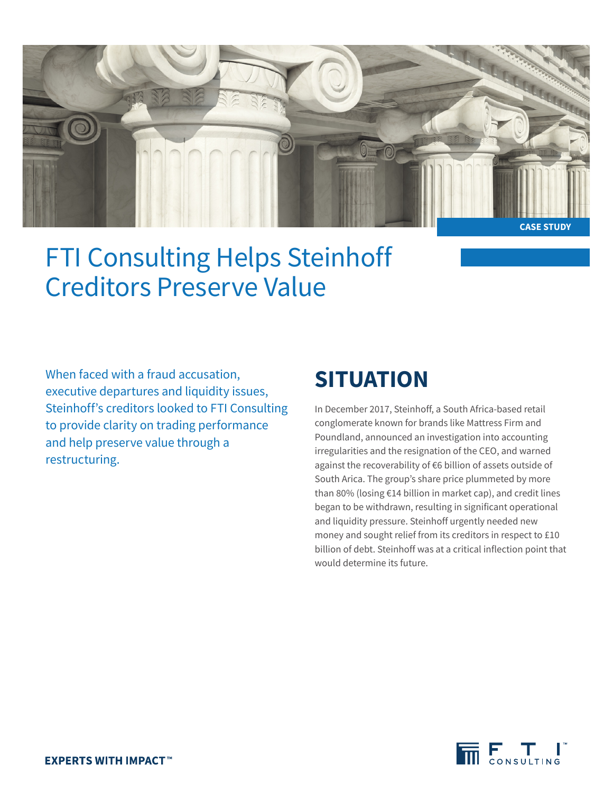

FTI Consulting Helps Steinhoff Creditors Preserve Value

When faced with a fraud accusation, executive departures and liquidity issues, Steinhoff's creditors looked to FTI Consulting to provide clarity on trading performance and help preserve value through a restructuring.

## **SITUATION**

In December 2017, Steinhoff, a South Africa-based retail conglomerate known for brands like Mattress Firm and Poundland, announced an investigation into accounting irregularities and the resignation of the CEO, and warned against the recoverability of €6 billion of assets outside of South Arica. The group's share price plummeted by more than 80% (losing €14 billion in market cap), and credit lines began to be withdrawn, resulting in significant operational and liquidity pressure. Steinhoff urgently needed new money and sought relief from its creditors in respect to £10 billion of debt. Steinhoff was at a critical inflection point that would determine its future.